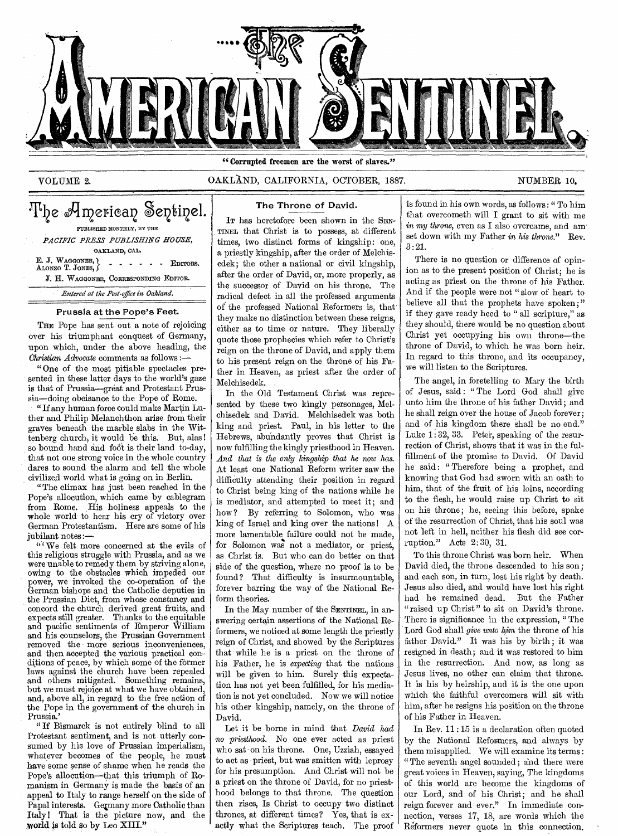

## **VOLUME 2. OAKLAND, CALIFORNIA, OCTOBER, 1887.** NUMBER 10.

# The American Sentinel. PUBLISHED MONTHLY, BY THE *PACIFIC PRESS PUBLISHING HOUSE,*

OAKLAND, CAL.

**E. J. WAGGONER, EDITORS.** ALONZO T. JONES,  $\int$  - - - - - - - - EDITORS. **J.** H. WAGGONER, CORRESPONDING EDITOR. *Entered at the Post-office in Oakland.* 

#### Prussia at the Pope's Feet.

THE Pope has sent out a note of rejoicing over his triumphant conquest of Germany, upon which, under the above heading, the *Christian Advocate* comments as follows :—

"One of the most pitiable spectacles presented in these latter days to the world's gaze is that of Prussia—great and Protestant Prussia—doing obeisance to the Pope of Rome.

"If any human force could make Martin Luther and Philip Melanchthon arise from their graves beneath the marble slabs in the Wittenberg church, it would be this. But, alas! so bound hand and foot is their land to-day, that not one strong voice in the whole country dares to sound the alarm and tell the whole civilized world what is going on in Berlin.

"The climax has just been reached in the Pope's allocution, which came by cablegram from Rome. His holiness appeals to the whole world to hear his cry of victory over German Protestantism. Here are some of his jubilant notes :—

" We felt more concerned at the evils of this religious struggle with Prussia, and as we were unable to remedy them by striving alone, owing to the obstacles which impeded our power, we invoked the co-operation of the German bishops and the Catholic deputies in the Prussian Diet, from whose constancy and concord the church derived great fruits, and expects still greater. Thanks to the equitable and pacific sentiments of Emperor William and his counselors, the Prussian Government removed the more serious inconveniences, and then accepted the various practical conditions of peace, by which some of the former laws against the church have been repealed and others mitigated. Something remains, but we must rejoice at what we have obtained, and, above all, in regard to the free action of the Pope in the government of the church in Prussia.'

" If Bismarck is not entirely blind to all Protestant sentiment, and is not utterly consumed by his love of Prussian imperialism, whatever becomes of the people, he must have some sense of shame when he reads the Pope's allocution—that this triumph of Romanism in Germany is made the basis of an appeal to Italy to range herself on the side of Papal interests. Germany more Catholic than Italy! That is the picture now, and the world is told so **by Leo XIII."** 

### The Throne of David.

IT has heretofore been shown in the SEN-TINEL that Christ is to possess, at different times, two distinct forms of kingship: one, a priestly kingship, after the order of Melchisedek; the other a national or civil kingship, after the order of David, or, more properly, as the successor of David on his throne. The radical defect in all the professed arguments of the professed National Reformers is, that' they make no distinction between these reigns, either as to time or nature. They liberally quote those prophecies which refer to Christ's reign on the throne of David, and apply them to his present reign on the throne of his Father in Heaven, as priest after the order of Melchisedek.

In the Old Testament Christ was represented by these two kingly personages, Melchisedek and David. Melchisedek was both king and priest. Paul, in his letter to the Hebrews, abundantly proves that Christ is now fulfilling the kingly priesthood in Heaven. *And that is the only kingship that he now has.*  At least one National Reform writer saw the difficulty attending their position in regard to Christ being king of the nations while he is mediator, and attempted to meet it; and how? By referring to Solomon, who was king of Israel and king over the nations I A more lamentable failure could not be made, for Solomon was not a mediator, or priest, as Christ is. But who can do better on that side of the question, where no proof is to be found? That difficulty is insurmountable, forever barring the way of the National Reform theories.

In the May number of the SENTINEL, in answering certain assertions of the National Reformers, we noticed at some length the priestly reign of Christ, and showed by the Scriptures that while he is a priest on the throne of his Father, he is *expecting* that the nations will be given to him. Surely this expectation has not yet been fulfilled, for his mediation is not yet concluded. Now we will notice his other kingship, namely, on the throne of David.

Let it be borne in mind that *David had*  no *priesthood.* No one ever acted as priest who sat on his throne. One, Uzziah, essayed to act as priest, but was smitten with leprosy for his presumption. And Christ will not be a priest on the throne of David, for no priesthood belongs to that throne. The question then rises, Is Christ to occupy two distinct thrones, at different times? Yes, that is exactly what the Scriptures teach. The proof

is found in his own words, as follows : " To him that overcometh will I grant to sit with me in my *throne,* even as I also overcame, and am set down with my Father in his throne." Rev. 3:21.

There is no question or difference of opinion as to the present position of Christ; he is acting as priest on the throne of his Father. And if the people were not " slow of heart to believe all that the prophets have spoken;" if they gave ready heed to " all scripture," as they should, there would be no question about Christ yet occupying his own throne—the throne of David, to which he was born heir. In regard to this throne, and its occupancy, we will listen to the Scriptures.

The angel, in foretelling to Mary the birth of Jesus, said : " The Lord God shall give unto him the throne of his father David; and he shall reign over the house of Jacob forever; and of his kingdom there shall be no end." Luke 1: 32, 33. Peter, speaking of the resurrection of Christ, shows that it was in the fulfillment of the promise to David. Of David he said: "Therefore being a prophet, and knowing that God had sworn with an oath to him, that of the fruit of his loins, according to the flesh, he would raise up Christ to sit on his throne; he, seeing this before, spake of the resurrection of Christ, that his soul was not left in hell, neither his flesh did see corruption." Acts 2:30, 31.

To this throne Christ was born heir. When David died, the throne descended to his son; and each son, in turn, lost his right by death. Jesus also died, and would have lost his right had he remained dead. But the Father "raised up Christ" to sit on David's throne. There is significance in the expression, " The Lord God shall *give unto kim* the throne of his father David." It was his by birth; it was resigned in death; and it was restored to him in the resurrection. And now, as long as Jesus lives, no other can claim that throne. It is his by heirship, and it is the one upon which the faithful overcomers will sit with him, after he resigns his position on the throne of his Father in Heaven.

In Rev. 11 : 15 is a declaration often quoted by the National Refopmers, and always by them misapplied. We will examine its terms : "The seventh angel sounded; aid there were great voices in Heaven, saying, The kingdoms of this world are become the kingdoms of our Lord, and of his Christ; and he shall reign forever and ever." In immediate connection, verses 17, 18, are words which the Reformers never quote in this connection.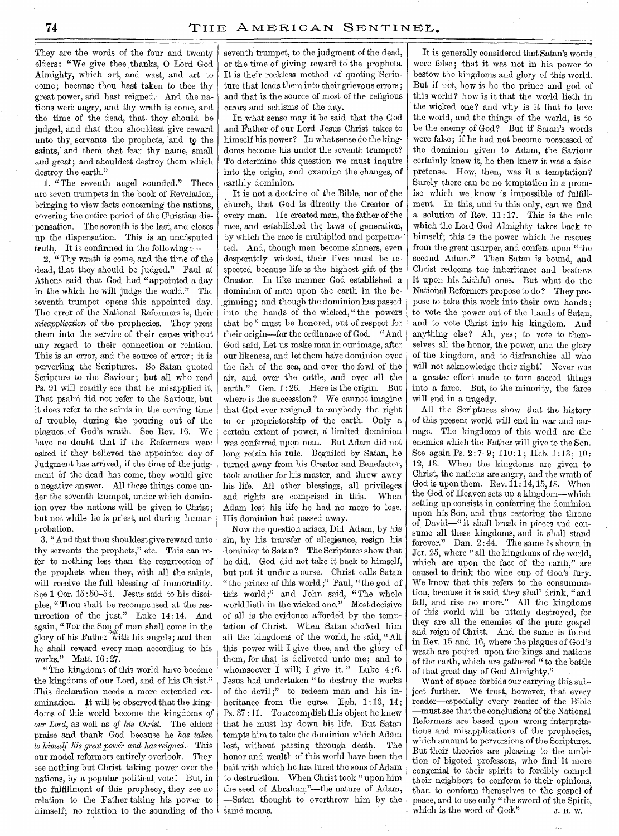They are the words of the four and twenty elders: "We give thee thanks, O Lord God Almighty, which art, and wast, and art to come; because thou hast taken to thee thy great power, and hast reigned. And the nations were angry, and thy wrath is come, and the time of the dead, that they should be judged, and that thou shouldest give reward unto thy servants the prophets, and to the saints, and them that fear thy name, small and great; and shouldest destroy them which destroy the earth."

1. "The seventh angel sounded." There are seven trumpets in the book of Revelation, bringing to view facts concerning the nations, covering the entire period of the Christian dispensation. The seventh is the last, and closes up the dispensation. This is an undisputed truth. It is confirmed in the following :-

2. " Thy wrath is come, and the time of the dead, that they should be judged." Paul at Athens said that God had "appointed a day in the which he will judge the world." The seventh trumpet opens this appointed day. The error of the National Reformers is, their *misapplication* of the prophecies. They press them into the service of their cause without any regard to their connection or relation. This is an error, and the source of error ; it is perverting the Scriptures. So Satan quoted Scripture to the Saviour; but all who read Ps. 91 will readily see that he misapplied it. That psalm did not refer to the Saviour, but it does refer to the saints in the coming time of trouble, during the pouring out of the plagues of God's wrath, See Rev. 16. We have no doubt that if the Reformers were asked if they believed the appointed day of Judgment has arrived, if the time of the judgment of the dead has come, they would give a negative answer. All these things come under the seventh trumpet, under which dominion over the nations will be given to Christ; but not while he is priest, not during human probation.

3. " And that thou shouldest give reward unto thy servants the prophets," etc. This can refer to nothing less than the resurrection of the prophets when they, with all the saints, will receive the full blessing of immortality. See 1 Cor. 15:50-54. Jesus said to his disciples, " Thou shalt be recompensed at the resurrection of the just." Luke 14 :14. And again, "For the Son, of man shall come in the glory of his Father with his angels; and then he shall reward every man according to his works." Matt. 16:27.

"The kingdoms of this world have become the kingdoms of our Lord, and of his Christ." This declaration needs a more extended examination. It will be observed that the kingdoms of this world become the kingdoms *of our Lord,* as well as *of his Christ.* The elders praise and thank God because he *has taken to himself his great power and has reigned.* This our model reformers entirely overlook. They see nothing but Christ taking power over the nations, by a popular political vote ! But, in the fulfillment of this prophecy, they see no relation to the Father taking his power to himself; no relation to the sounding of the seventh trumpet, to the judgment of the dead, or the time of giving reward to the prophets. It is their reckless method of quoting 'Scripture that leads them into their grievous errors; and that is the source of most of the religious errors and schisms of the day.

In what sense may it be said that the God and Father of our Lord Jesus Christ takes to himself his power? In what sense do the kingdoms become his under the seventh trumpet? To determine this question we must inquire into the origin, and examine the changes, of earthly dominion.

It is not a doctrine of the Bible, nor of the church, that God is directly the Creator of every man. He created man, the father of the race, and established the laws of generation, by which the race is multiplied and perpetuated. And, though men become sinners, even desperately wicked, their lives must be respected because life is the highest gift of the Creator. In like manner God established a dominion of man upon the earth in the beginning; and though the dominionhas passed into the hands of the wicked, " the powers that be " must be honored, out of respect for their origin—for the ordinance of God. "And God said, Let us make man in our image, after our likeness, and let them have dominion over the fish of the sea, and over the fowl of the air, and over the cattle, and over all the earth." Gen. 1: 26. Here is the origin. But where is the succession? We cannot imagine that God ever resigned. to -anybody the right to or proprietorship of the earth. Only a certain extent of power, a limited dominion was conferred upon man. But Adam did not long retain his rule. Beguiled by Satan, he turned away from his Creator and Benefactor, took another for his master, and threw away his life. All other blessings, all privileges and rights are comprised in this. When Adam lost his life he had no more to lose. His dominion had passed away.

Now the question arises, Did Adam, by his sin, by his transfer of allegiance, resign his dominion to Satan? The Scriptures show that he did. God did not take it back to himself, but put it under a curse. Christ calls Satan "the prince of this world ;" Paul, "the god of this world;" and John said, "The whole world lieth in the wicked one." Most decisive of all is the evidence afforded by the temptation of Christ. When Satan showed him all the kingdoms of the world, he said, "All this power will I give thee, and the glory of them, for that is delivered unto me; and to whomsoever I will; I give it." Luke  $4:6$ . Jesus had undertaken "to destroy the works of the devil;" to redeem man and his inheritance from the curse. Eph. 1:13, 14; Ps. 37 :11. To accomplish this object he knew that he must lay down his life. But Satan tempts him to take the dominion which Adam lost, without passing through death. The honor and wealth of this world have been the bait with which he has lured the sons of Adam to destruction. When Christ took " upon him the seed of Abraham"—the nature of Adam, —Satan thought to overthrow him by the same means.

It is generally considered that Satan's words were false; that it was not in his power to bestow the kingdoms and glory of this world. But if not, how is he the prince and god of this world? how is it that the world lieth in the wicked one? and why is it that to love the world, and the things of the world, is to be the enemy of God? But if Satan's words were false; if he had not become possessed of the dominion given to Adam, the Saviour certainly knew it, he then knew it was a false pretense. How, then, was it a temptation? Surely there can be no temptation in a promise which we know is impossible of fulfillment. In this, and in this only, can we find a solution of Rev.  $11:17$ . This is the rule which the Lord God Almighty takes back to himself; this is the power which he rescues from the great usurper, and confers upon " the second Adam." Then Satan is bound, and Christ redeems the inheritance and bestows it upon his faithful ones. But what do the National Reformers propose to do? They propose to take this work into their own hands ; to vote the power out of the hands of Satan, and to vote Christ into his kingdom. And anything else? Ah, yes; to vote to themselves all the honor, the power, and the glory of the kingdom, and to disfranchise all who will not acknowledge their right! Never was a greater effort made to turn sacred things into a farce. But, to the minority, the farce will end in a tragedy.

All the Scriptures show that the history of this present world will end in war and carnage. The kingdoms of this world arc the enemies which the Father will give to the Son. Sce again Ps. 2:7-9; 110:1; Heb. 1:13; 10: 12, 13. When the kingdoms are given to Christ, the nations are angry, and the wrath of God is upon them. Rev.  $11:14, 15, 18$ . When the God of Heaven sets up a kingdom—which setting up consists in conferring the dominion upon his Son, and thus restoring the throne of David—" it shall break in pieces and consume all these kingdoms, and it shall stand. forever." Dan. 2:44. The same is shown in Jer. 25, where "all the kingdoms of the world, which are upon the face of the carth," are caused to drink the wine cup of God's fury. We know that this refers to the consummation, because it is said they shall drink, "and fall, and rise no more." All the kingdoms of this world will be utterly destroyed, for they are all the enemies of the pure gospel and reign of Christ. And the same is found in Rev. 15 and 16, where the plagues of God's wrath are poured upon the kings and nations of the earth; which are gathered "to the battle of that great day of God Almighty."

Want of space forbids our carrying this sub-<br>ject further. We trust, however, that every We trust, however, that every reader—especially every reader of the Bible -must see that the conclusions of the National Reformers are based upon wrong interpretations and misapplications of the prophecies, which amount to perversions of the Scriptures. But their theories are pleasing to the ambition of bigoted professors, who find it more congenial to their spirits to forcibly compel their neighbors to conform to their opinions, than to conform themselves to the gospel of peace, and to use only "the sword of the Spirit, which is the word of  $Good$ ." J. H. W.

 $\mathcal{L}_{\mathcal{F}}$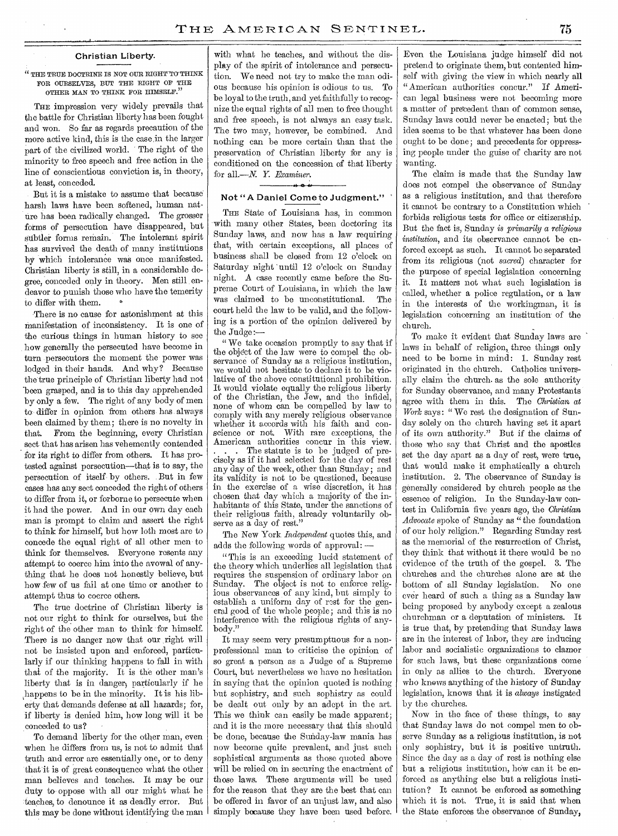#### Christian Liberty.

#### $^{\prime\prime}$  THE TRUE DOCTRINE IS NOT OUR RIGHT TO THINK FOR OURSELVES, BUT THE RIGHT OF THE OTHER MAN TO THINK FOR HIMSELF."

THE impression very widely prevails that the battle for Christian liberty has been fought and won. So far as regards precaution of the more active kind, this is the casein the larger part of the civilized world. The right of the minority to free speech and free action in the line of conscientious conviction is, in theory, at least, conceded.

But it is a mistake to assume that because harsh laws have been softened, human nature has been radically changed. The grosser forms of persecution have disappeared, but subtler forms remain. The intolerant spirit has survived the death of many institutions by which intolerance was once manifested. Christian liberty is still, in a considerable degree, conceded only in theory. Men still endeavor to punish those who have the temerity to differ with them.

There is no cause for astonishment at this manifestation of inconsistency. It is one of the curious things in human history to see how generally the persecuted have become in turn persecutors the moment the power was lodged in their hands. And why? Because the true principle of Christian liberty had not been grasped, and is to this day apprehended by only a few. The right of any body of men to differ in opinion from others has always been claimed by them; there is no novelty in that. From the beginning, every Christian sect that has arisen has vehemently contended for its right to differ from others. It has protested against persecution—that is to say, the persecution of itself by others. But in few cases has any sect conceded the right of others to differ from it, or forborne to persecute when it had the power. And in our own day each man is prompt to claim and assert the right to think for himself, but how loth most are to concede the equal right of all other men to think for themselves. Everyone resents any attempt to coerce him into the avowal of anything that he does not honestly believe, but how few of us fail at one time or another to attempt thus to coerce others.

The true doctrine of Christian liberty is not our right to think for ourselves, but the right of the other man to think for himself. There is no danger now that our right will not be insisted upon and enforced, particularly if our thinking happens to fall in with that of the majority. It is the other man's liberty that is in danger, particularly if he happens to be in the minority. It is his liberty that demands defense at all hazards; for, if liberty is denied him, how long will it be conceded to us?

To demand liberty for the other man, even when he differs from us, is not to admit that truth and error are essentially one, or to deny that it is of great consequence what the other man believes and teaches. It may be our duty to oppose with all our might what he teaches, to denounce it as deadly error. But this may be done without identifying the man

with what he teaches, and without the display of the spirit of intolerance and persecution. We need not try to make the man odious because his opinion is odious to us. To be loyal to the truth, and yet faithfully to recognize the equal rights of all men to free thought and free speech, is not always an easy task. The two may, however, be combined. And nothing can be more certain than that the preservation of Christian liberty for any is conditioned on the concession of that liberty for all.—N. *Y. Examiner. 4* 0 I.

#### Not "A Daniel Come to Judgment."

THE State of Louisiana has, in common with many other States, been doctoring its Sunday laws, and now has a law requiring that, with certain exceptions, all places of business shall be closed from 12 o'clock on Saturday night 'until 12 o'clock on Sunday night. A case recently came before the Supreme Court of Louisiana, in which the law was claimed to be unconstitutional. The court held the law to be valid, and the folloWing is a portion of the opinion delivered by the Judge:—

" We take occasion promptly to say that if the object of the law were to compel the observance of Sunday as a religious institution, we would not hesitate to declare it to be violative of the above constitutional prohibition. It would violate equally the religious liberty of the Christian, the Jew, and the infidel, none of whom can be compelled by law to comply with any merely religious observance whether it accords with his faith and conscience or not. With rare exceptions, the With rare exceptions, the American authorities concur in this view.

The statute is to be judged of precisely as if it had selected for the day of rest any day of the week, other than Sunday; and its validity is not to be questioned, because in the exercise of a wise discretion, it has chosen that day which a majority of the inhabitants of this State, under the sanctions of their religious faith, already voluntarily observe as a day of rest."

The New York *Independent* quotes this, and adds the following words of approval: -

" This is an exceeding lucid statement of the theory which underlies all legislation that requires the suspension of ordinary labor on Sunday. The object is not to enforce religious observances of any kind, but simply to establish a uniform day of rest for the general good of the whole people; and this is no interference with the religious rights of anybody."

It may seem very presumptuous for a nonprofessional man to criticise the opinion of so great a person as a Judge of a Supreme Court, but nevertheless we have no hesitation in saying that the opinion quoted is nothing but sophistry, and such sophistry as could be dealt out only by an adept in the art. This we think can easily be made apparent; and it is the more necessary that this should be done, because the Sunday-law mania has now become quite prevalent, and just such sophistical arguments as those quoted above will be relied on in securing the enactment of those laws. These arguments will be used for the reason that they are the best that can be offered in favor of an unjust law, and also simply because they have been used before.

Even the Louisiana judge himself did not pretend to originate them, but contented himself with giving the view in which nearly all "American authorities concur." If American legal business were not becoming more a matter of precedent than of common sense, Sunday laws could never be enacted; but the idea seems to be that whatever has been done ought to be done; and precedents for oppressing people under the guise of charity are not wanting.

The claim is made that the Sunday law does not compel the observance of Sunday as a religious institution, and that therefore it cannot be contrary to a Constitution which forbids religious tests for office or citizenship. But the fact is, Sunday *is primarily a religious institution,* and its observance cannot be enforced except as such. It cannot be separated from its religious (not *sacred)* character for the purpose of special legislation concerning it. It matters not what such legislation is called, whether a police regulation, or a law in the interests of the workingman, it is legislation concerning an institution of the church.

To make it evident that Sunday laws are laws in behalf of religion, three things only need to be borne in mind: 1. Sunday rest originated in the church. Catholics universally claim the church. as the sole authority for Sunday observance, and many Protestants agree with them in this. The *Christian at Work* says: " We rest the designation of Sunday solely on the church having set it apart of its own authority." But if the claims of those who say that Christ and the apostles set the day apart as a day of rest, were true, that would make it emphatically a church institution. 2. The observance of Sunday is generally considered by church people as the essence of religion. In the Sunday-law contest in California five years ago, the *Christian Advocate* spoke of Sunday as "the foundation of our holy religion." Regarding Sunday rest as the memorial of the resurrection of Christ, they think that without it there would be no evidence of the truth of the gospel. 3. The churches and the churches alone are at the bottom of all Sunday legislation. No one ever heard of such a thing as a Sunday law being proposed by anybody except a zealous churchman or a deputation of ministers. It is true that, by pretending that Sunday laws are in the interest of labor, they are inducing labor and socialistic organizations to clamor for such laws, but these organizations come in only as allies to the church. Everyone who knows anything of the history of Sunday legislation, knows that it is *always* instigated by the churches.

Now in the face of these things, to say that Sunday laws do not compel men to observe Sunday as a religious institution, is not only sophistry, but it is positive untruth. Since the day as a day of rest is nothing else but a religious institution, how can it be enforced as anything else but a religious institution? It cannot be enforced as something which it is not. True, it is said that when the State enforces the observance of Sunday,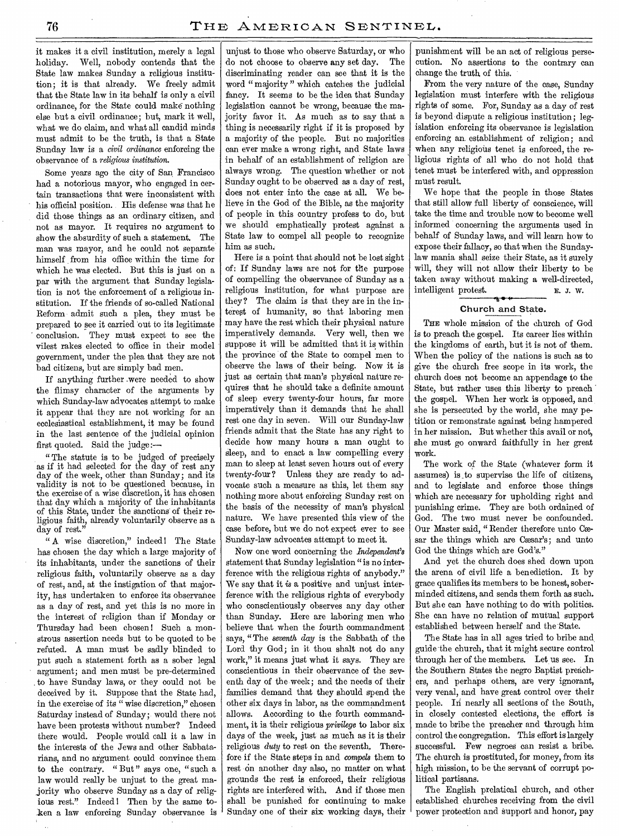it makes it a civil institution, merely a legal holiday. Well, nobody contends that the State law makes Sunday a religious institution; it is that already. We freely admit that the State law in its behalf is only a civil ordinance, for the State could make nothing else but a civil ordinance; but, mark it well, what we do claim, and what all candid minds must admit to be the truth, is that a State Sunday law is a *civil ordinance* enforcing the observance of a *religious institution.* 

Some years ago the city of San Francisco had a notorious mayor, who engaged in certain transactions that were inconsistent with his official position. His defense was that he did those things as an ordinary citizen, and not as mayor. It requires no argument to show the absurdity of such a statement. The man was mayor, and he could not separate himself from his office within the time for which he was elected. But this is just on a par with the argument that Sunday legislation is not the enforcement of a religious institution. If the friends of so-called National Reform admit such a plea, they must be prepared to see it carried out to its legitimate conclusion. They must expect to see the vilest rakes elected to office in their model government, under the plea that they are not bad citizens, but are simply bad men.

If anything further .were needed to show the flimsy character of the arguments by which Sunday-law advocates attempt to make it appear that they are not working for an ecclesiastical establishment, it may be found in the last sentence of the judicial opinion first quoted. Said the judge:—

" The statute is to be judged of precisely as if it had selected for the day of rest any day of the week, other than Sunday; and its validity is not to be questioned because, in the exercise of a wise discretion, it has chosen that day which a majority of the inhabitants of this State, under the sanctions of their religious faith, already voluntarily observe as a day of rest."

" A wise discretion," indeed ! The State has chosen the day which a large majority of its inhabitants, under the sanctions of their religious faith, voluntarily observe as a day of rest, and, at the instigation of that majority, has undertaken to enforce its observance as a day of rest, and yet this is no more in the interest of religion than if Monday or Thursday had been chosen! Such a monstrous assertion needs but to be quoted to be refuted. A man must be sadly blinded to put such a statement forth as a sober legal argument; and men must be pre-determined . to have Sunday laws, or they could not be deceived by it. Suppose that the State had, in the exercise of its " wise discretion," chosen Saturday instead of Sunday;.would there not have been protests without number? Indeed there would. People would call it a law in the interests of the Jews and other Sabbatarians, and no argument could convince them to the contrary. "But" says one, "such a law would really be unjust to the great majority who observe Sunday as a day of religious rest." Indeed! Then by the same token a law enforcing Sunday observance is

unjust to those who observe Saturday, or who do not choose to observe any set day. The discriminating reader can see that it is the word " majority " which catches the judicial fancy. It seems to be the idea that Sunday legislation cannot be wrong, because the majority favor it. As much as to say that a thing is necessarily right if it is proposed by a majority of the people. But no majorities can ever make a wrong right, and State laws in behalf of an establishment of religion are always wrong. The question whether or not Sunday ought to be observed as a day of rest, does not enter into the case at all. We believe in the God of the Bible, as the majority of people in this country profess to do, but we should emphatically protest against a State law to compel all people to recognize him as such.

Here is a point that should not be lost sight of: If Sunday laws are not for the purpose of compelling the observance of Sunday as a religious institution, for what purpose are they ? The claim is that they are in the interest of humanity, so that laboring men may have the rest which their physical nature imperatively demands. Very well, then we suppose it will be admitted that it is within the province of the State to compel men to observe the laws of their being. Now it is just as certain that man's physical nature requires that he should take a definite amount of sleep every twenty-four hours, far more imperatively than it demands that he shall rest one day in seven. Will our Sunday-law friends admit that the State has any right to decide how many hours a man ought to sleep, and to enact a law compelling every man to sleep at least seven hours out of every twenty-four? Unless they are ready to advocate such a measure as this, let them say nothing more about enforcing Sunday rest on the basis of the necessity of man's physical nature. We have presented this view of the case before, but we do not expect ever to see Sunday-law advocates attempt to meet it.

Now one word concerning the *Independent's*  statement that Sunday legislation " is no interference with the religious rights of anybody." We say that it is a positive and unjust interference with the religious rights of everybody who conscientiously observes any day other than Sunday. Here are laboring men who believe that when the fourth commandment says, " The *seventh day* is the Sabbath of the Lord thy God; in it thou shalt not do any work," it means just what it says. They are conscientious in their observance of the seventh day of the week; and the needs of their families demand that they should spend the other six days in labor, as the commandment allows. According to the fourth commandment, it is their religious *privilege* to labor six days of the week, just as much as it is their religious *duty* to rest on the seventh. Therefore if the State steps in and *compels* them to rest on another day also, no matter on what grounds the rest is enforced, their religious rights are interfered with. And if those men shall be punished for continuing to make Sunday one of their six working days, their punishment will be an act of religious persecution. No assertions to the contrary can change the truth of this.

From the very nature of the case, Sunday legislation must interfere with the religious rights of some. For, Sunday as a day of rest is beyond dispute a religious institution; legislation enforcing its observance is legislation enforcing an establishment of religion; and when any religious tenet is enforced, the religious rights of all who do not hold that tenet must be interfered with, and oppression must result.

We hope that the people in those States that still allow full liberty of conscience, will take the time and trouble now to become well informed concerning the arguments used in behalf of Sunday laws, and will learn how to expose their fallacy, so that when the Sundaylaw mania shall seize their State, as it surely will, they will not allow their liberty to be taken away without making a well-directed, intelligent protest. E. J. W.

## Church and State.

THE whole mission of the church of God is to preach the gospel. Its career lies within the kingdoms of earth, but it is not of them. When the policy of the nations is such as to give the church free scope in its work, the church does not become an appendage to the State, but rather uses this liberty to preach the gospel. When her work is opposed, and she is persecuted by the world, she may petition or remonstrate against being hampered in her mission. But whether this avail or not, she must go onward faithfully in her great work.

The work of the State (whatever form it assumes) is ,to supervise the life of citizens, and to legislate and enforce those things which are necessary for upholding right and punishing crime. They are both ordained of God. The two must never be confounded. Our Master said, "Render therefore unto Cæsar the things which are Cæsar's; and unto God the things which are God's."

And yet the church does shed down upon the arena of civil life a benediction. It by grace qualifies its members to be honest, soberminded citizens, and sends them, forth as such. But she can have nothing to do with politics. She can have no relation of mutual support established between herself and the State.

The State has in all ages tried to bribe and guide the church, that it might secure control through her of the members. Let us see. In the Southern States the negro Baptist preachers, and perhaps others, are very ignorant, very venal, and have great control over their people. In nearly all sections of the South, in closely contested elections, the effort is made to bribe the preacher and through him control the congregation. This effort is largely successful. Few negroes can resist a bribe. The church is prostituted, for money, from its high mission, to be the servant of corrupt political partisans.

The English prelatical church, and other established churches receiving from the civil power protection and support and honor, pay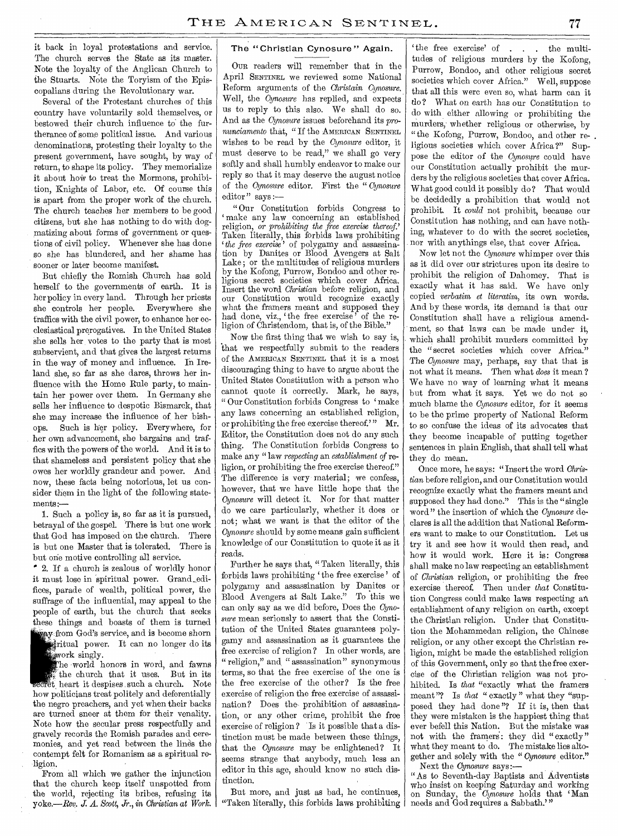it back in loyal protestations and service. The church serves the State as its master. Note the loyalty of the Anglican Church to the Stuarts. Note the Toryism of the Episcopalians during the Revolutionary war.

Several of the Protestant churches of this country have voluntarily sold themselves, or bestowed their church influence to the furtherance of some political issue. And various denominations, protesting their loyalty to the present government, have sought, by way of return, to shape its policy. They memorialize it about how to treat the Mormons, prohibition, Knights of Labor, etc. Of course this is apart from the proper work of the church. The church teaches her members to be good citizens, but she has nothing to do with dogmatizing about forms of government or questions of civil policy. Whenever she has done so she has blundered, and her shame has sooner or later become manifest.

But chiefly the Romish Church has sold herself to the governments of earth. It is her policy in every land. Through her priests she controls her people. Everywhere she traffics with the civil power, to enhance her ecclesiastical prerogatives. In the United States she sells her votes to the party that is most subservient, and that gives the largest returns in the way of money and influence. In Ireland she, so far as she dares, throws her influence with the Home Rule party, to maintain her power over them. In Germany she sells her influence to despotic Bismarck, that she may increase the influence of, her bishops. Such is her policy. Everywhere, for her own. advancement, she bargains and traffics with the powers of the world. And it is to that shameless and persistent policy that she owes her worldly grandeur and power. And now, these facts being notorious, let us consider them in the light of the following state $ments \sim$ 

1. Such a policy is, so far as it is pursued, betrayal of the gospel. There is but one work that God has imposed on the church. There is but one Master that is tolerated. There is but one motive controlling all service.

' 2. If a church is zealous of worldly honor it must lose in spiritual power. Grand\_edifices, parade of wealth, political power, the suffrage of the influential, may appeal to the people of earth, but the church that seeks these things and boasts of them is turned ay from God's service, and is become shorn

**in**tual power. It can no longer do its work singly.

The world honors in word, and fawns<br>the church that it uses. But in its the church that it uses. t heart it despises such a church. Note how politicians treat politely and deferentially the negro preachers, and yet when their backs are turned sneer at them for their venality. Note how the secular press respectfully and gravely records the Romish parades and ceremonies, and yet read between the lines the contempt felt for Romanism as a spiritual religion.

From all which we gather the injunction that the church keep itself unspotted from the world, rejecting its bribes, refusing its yoke.—Rev. *J. A. Scott, Jr., in Christian at Work.* 

#### The "Christian Cynosure" Again.

OUR readers will remember that in the April SENTINEL we reviewed some National Reform arguments of the *Christain Cynosure.*  Well, the *Cynosure* has replied, and expects us to reply to this also. We shall do so. And as the *Cynosure* issues beforehand its *pronunciamento* that, " If the AMERICAN SENTINEL wishes to be read by the *Cynosure* editor, it must deserve to be read," we shall go very softly and shall humbly endeavor to make our reply so that it may deserve the august notice of the *Cynosure* editor. First the " *Cynosure*  editor" says :-

"Our Constitution forbids Congress to make any law concerning an established religion, *or prohibiting the free exercise thereof.'*  Taken literally, this forbids laws prohibiting *the free exercise'* of polygamy and assassination by Danites or Blood Avengers at Salt Lake ; or the multitudes of religious murders by the Kofong, Purrow, Bondoo and other religious secret societies which cover Africa. Insert the word *Christian* before religion, and our Constitution would recognize exactly what the framers meant and supposed they had done, viz., 'the free exercise'' of the religion of Christendom, that is, of the Bible."

Now the first thing that we wish to say is, that we respectfully submit to the readers of the AMERICAN SENTINEL that it is a most discouraging thing to have to argue about the United States Constitution with a person who cannot quote it correctly. Mark, he says, " Our Constitution forbids Congress to 'make any laws concerning an established religion, or prohibiting the free exercise thereof.'" Mr. Editor, the Constitution does not do any such thing. The Constitution forbids Congress to make any "law *respecting* an *establishment of* religion, or prohibiting the free exercise thereof." The difference is very material; we confess, however, that we have little hope that the *Cynosure* will detect it. Nor for that matter do we care particularly, whether it does or not; what we want is that the editor of the *Cynosure* should by some means gain sufficient knowledge of our Constitution to quote it as it reads.

Further he says that, "Taken literally, this forbids laws prohibiting 'the free exercise' of polygamy and assassination by Danites or Blood Avengers at Salt Lake." To this we can only say as we did before, Does the *Cynosure* mean seriously to assert that the Constitution of the United States guarantees polygamy and assassination as it guarantees the free exercise of religion? In other words, are " religion," and " assassination " synonymous terms, so that the free exercise of the one is the free exercise of the other? Is the free exercise of religion the free exercise of assassination? Does the prohibition of assassination, or any other crime, prohibit the free exercise of religion ? Is it possible that a distinction must be made between these things, that the *Cynosure* may be enlightened? It seems strange that anybody, much less an editor in this age, should know no such distinction.

But more, and just as bad, he continues, "Taken literally, this forbids laws prohibiting

the free exercise' of . . . the multitudes of religious murders by the Kofong, Purrow, Bondoo, and other religious secret societies which cover Africa." Well, suppose that all this were even so, what harm can it do? What on earth has our Constitution to do with either allowing or prohibiting the murders, whether religious or otherwise, by "the Kofong, Purrow, Bondoo, and other religious societies which cover Africa?" Suppose the editor of the *Cynosure* could have our Constitution actually prohibit the murders by the religious societies that cover Africa. What good could it possibly do? That would be decidedly a prohibition that would not prohibit. It *could* not prohibit, because our Constitution has nothing, and can have nothing, whatever to do with the secret societies, nor with anythings else, that cover Africa.

Now let not the *Cynosure* whimper over this as it did over our strictures upon its desire to prohibit the religion of Dahomey. That is exactly what it has said. We have only copied *verbatim et literatim,* its own words. And by these words, its demand is that our Constitution shall have a religious amendment, so that laws can be made under it, which shall prohibit murders committed by the "secret societies which cover Africa." The *Cynosure* may, perhaps, say that that is not what it means. Then what *does* it mean ? We have no way of learning what it means but from what it says. Yet we do not so much blame the *Cynosure* editor, for it seems to be the prime property of National Reform to so confuse the ideas of its advocates that they become incapable of putting together sentences in plain English, that shall tell what they do mean.

Once more, he says: "Insert the word *Christian* before religion, and our Constitution would recognize exactly what the framers meant and supposed they had done." This is the "single" word" the insertion of which the *Cynosure* declares is all the addition that National Reformers want to make to our Constitution. Let us try it and see how it would then read, and how it would work. Here it is: Congress shall make no law respecting an establishment of *Christian* religion, or prohibiting the free exercise thereof. Then under *that* Constitution Congress could make laws respecting an establishment of any religion on earth, except the Christian religion. Under that Constitution the Mohammedan religion, the Chinese religion, or any other except the Christian religion, might be made the established religion of this Government, only so that the free exercise of the Christian religion was not prohibited. Is *that* "exactly what the framers meant"? Is *that* "exactly" what they "supposed they had done "? If it is, then that they were mistaken is the happiest thing that ever befell this Nation. But the mistake was not with the framers: they did "exactly" what they meant to do. The mistake lies altogether and solely with the " *Cynosure* editor." Next the *Cynosure* says:—

"As to Seventh-day Baptists and Adventists who insist on keeping Saturday and working on Sunday, the *Cynosure* holds that 'Man needs and God requires a Sabbath."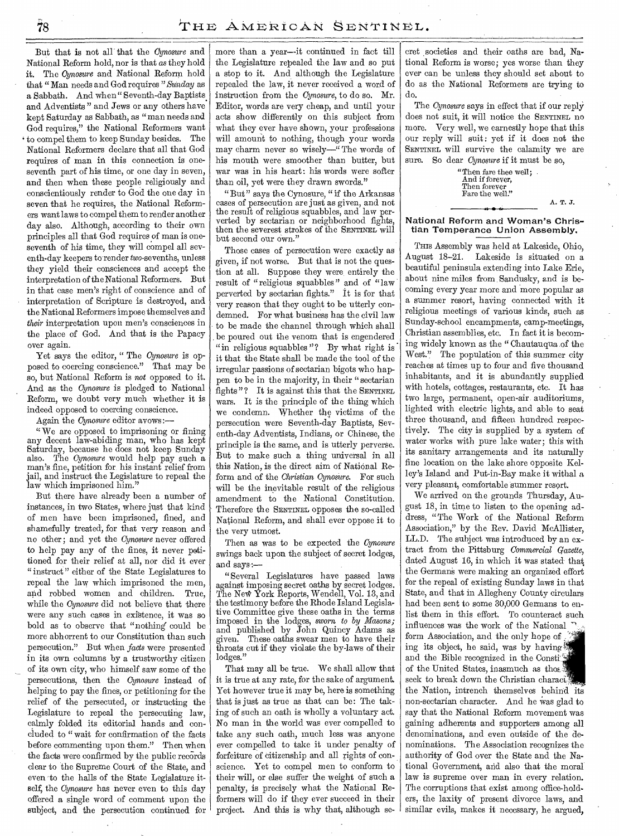But that is not all that the *Cynosure* and National Reform hold, nor is that *as* they hold it. The *Cynosure* and National Reform hold that "Man needs and God requires *"Sunday* as a Sabbath. And when " Seventh-day Baptists. and Adventists" and Jews or any others have kept Saturday as Sabbath, as "man needs and God requires," the National Reformers want to compel them to keep Sunday besides. The National Reformers declare that all that God requires of man in this connection is oneseventh part of his time, or one day in seven, and then when these people religiously and conscientiously render to God the one day in seven that he requires, the National Reformers want laws to compel them to render another day also. Although, according to their own principles all that God requires of man is oneseventh of his time, they will compel all seventh-day keepers to render two-sevenths, unless they yield their consciences and accept the interpretation of the National Reformers. But in that case men's right of conscience and of interpretation of Scripture is destroyed, and the National Reformers impose themselves and *their* interpretation upon men's consciences in the place of God. And that is the Papacy over again.

Yet says the editor, " The *Cynosure* is opposed to coercing conscience." That may be so, but National Reform is *not* opposed to it. And as the *Cynosure* is pledged to National Reform, we doubt very much whether it is indeed opposed to coercing conscience.

Again the *Cynosure* editor avows :—

" We are opposed to imprisoning or fining any decent law-abiding man, who has kept Saturday, because he does not keep Sunday<br>also. The *Cunosure* would help pay such a The *Cynosure* would help pay such a man's fine, petition for his instant relief from jail, and instruct the Legislature to repeal the law which imprisoned him."

But there have already been a number of instances, in two States, where just that kind of men have been imprisoned, fined, and shamefully treated, for that very reason and no other; and yet the *Cynosure* never offered to help pay any of the fines, it never petitioned for their relief at all, nor did it ever " instruct " either of the State Legislatures to repeal the law which imprisoned the men, and robbed women and children. True, while the *Cynosure* did not believe that there were any such cases in existence, it was so bold as to observe that "nothing could be more abhorrent to our Constitution than such persecution." But when *facts* were presented in its own columns by a trustworthy citizen of its own city, who himself saw some of the persecutions, then the *Cynosure* instead of helping to pay the fines, or petitioning for the relief of the persecuted, or instructing the Legislature to repeal the persecuting law, calmly folded its editorial hands and concluded to "wait for confirmation of the facts before commenting upon them." Then when the facts were confirmed by the public records clear to the Supreme Court of the State, and even 'to the halls of the State Legislature itself; the *Cynosure* has never even to this day offered a single word of comment upon the subject, and the persecution continued for more than a year--it continued in fact till the Legislature repealed the law and so put a stop to it. And although the Legislature repealed the law, it never received a word of instruction from the *Cynosure,* to do so. Mr. Editor, words are very cheap, and until your acts show differently on this subject from what they ever have shown, your professions will amount to nothing, though your words may charm never so wisely—" The words of his mouth were smoother than butter, but war was in his heart: his words were softer than oil, yet were they drawn swords."

"But" says the Cynosure, "if the Arkansas cases of persecution are just as given, and not the result of religious squabbles, and law perverted by sectarian or neighborhood fights, then the severest strokes of the SENTINEL will but second our own."

Those cases of persecution were exactly as given, if not worse. But that is not the question at all. Suppose they were, entirely the result of "religious squabbles" and of "law perverted by sectarian fights." It is for that very reason that they ought to be utterly condemned. For what business has the civil law to be made the channel through which shall . be poured out the venom that is engendered "in religious squabbles"? By what right is it that the State shall be made the tool of the irregular passions of sectarian bigots who happen to be in the majority, in their " sectarian fights "? It is against this that the SENTINEL wars. It is the principle of the thing which we condemn. Whether the victims of the persecution were Seventh-day Baptists, Seventh-day Adventists, Indians, or Chinese, the principle is the same, and is utterly perverse. But to make such a thing universal in all this Nation, is the direct aim of National Reform and of the *Christian Cynosure.* For such will be the inevitable result of the religious amendment to the National Constitution. Therefore the SENTINEL opposes the so-called National Reform, and shall ever oppose it to the very utmost.

Then as was to be expected the *Cynosure*  swings back upon the subject of secret lodges, and says :—

" Several Legislatures have passed laws against imposing secret oaths by secret lodges. The New York Reports, Wendell, Vol. 13, and the testimony before the Rhode Island Legislative Committee give these oaths in the terms imposed in the lodges, *sworn to by Masons;*  and published by John Quincy Adams as given. These oaths swear men to have their throats cut if they violate the by-laws of their lodges."

That may all be true. We shall allow that it is true at any rate, for the sake of argument. Yet however true it may be, here is something that is just as true as that can be: The taking of such an oath is wholly a voluntary act. No man in the world was ever compelled to take any such oath, much less was anyone ever compelled to take it under penalty of forfeiture of citizenship and all rights of conscience. Yet to compel men to conform to their will, or else suffer the weight of such a penalty, is precisely what the National Reformers will do if they ever succeed in their project. And this is why that, although secret societies and their oaths are bad, National Reform is worse; yes worse than they ever can be unless they should set about to do as the National Reformers are trying to do.

The *Cynosure* says in effect that if our reply does not suit, it will notice the SENTINEL no more. Very well, we earnestly hope that this our reply will suit: yet if it does not the SENTINEL will survive the calamity we are sure. So dear *Cynosure if* it must be so,

> "Then fare thee well; . And if forever, Then forever Fare the well."

A. T. J.

**National Reform and Woman's Christian Temperance Union Assembly.** 

THIS Assembly was held at Lakeside, Ohio, August 18-21. Lakeside is situated on a beautiful peninsula extending into Lake Erie, about nine miles from Sandusky, and is becoming every year more and more popular as a summer resort, having connected with it religious meetings of various kinds, such as Sunday-school encampments, camp-meetings, Christian assemblies, etc. In fact it is becoming widely known as the " Chautauqua .of the West." The population of this summer city reaches at times up to four and five thousand inhabitants, and it is abundantly supplied with hotels, cottages, restaurants, etc. It has two large, permanent, open-air auditoriums, lighted with electric lights, and able to seat three thousand, and fifteen hundred respectively. The city is supplied by a system of water works with pure lake water; this with its sanitary arrangements and its naturally fine location on the lake shore opposite Kelley's Island and Put-in-Bay make it withal a very pleasant, comfortable summer resort.

We arrived on the grounds Thursday, August 18, in time to listen to the opening address, "The Work of the National Reform Association," by the Rev. David McAllister, LL.D. The subject was introduced by an extract from the Pittsburg *Commercial Qazette,*  dated August 16, in which it was stated that. the Germans were making an organized effort for the repeal of existing Sunday laws in that State, and that in Allegheny County circulars had been sent to some 30,000 Germans to enlist them in this effort. To counteract such influences was the work of the National form Association, and the only hope of ing its object, he said, was by having and the Bible recognized in the Consti of the United States, inasmuch as thos seek to break down the Christian characi' the Nation, intrench themselves behind its non-sectarian character. And he was glad to *say* that the National Reform movement was gaining adherents and supporters among all denominations, and even outside of the denominations. The Association recognizes the authority of God over the State and the National Government, and also that the moral law is supreme over man in every relation. The corruptions that exist among office-holders, the laxity of present divorce laws, and similar evils, makes it necessary, he argued,

78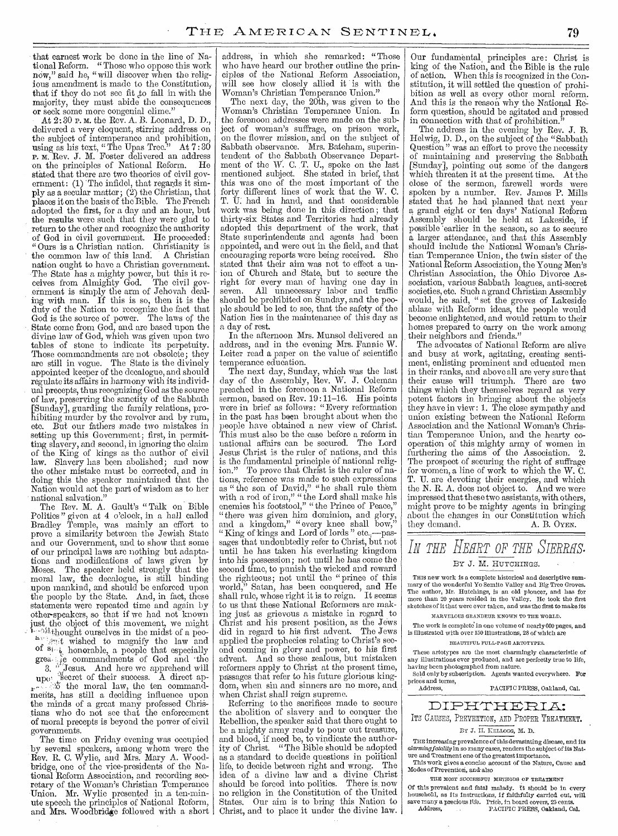that earnest work be done in the line of National Reform. "Those who oppose this work now," said he, "will discover when the religious amendment is made to the Constitution, that if they do not see fit to fall in with the majority, they must abide the consequences or seek some more congenial clime."

At 2:30 p. m. the Rev. A. B. Leonard, D. D., delivered a very eloquent, stirring address on the subject of intemperance and prohibition, using as his text, "The Upas Tree." At  $7:30$ P. M. Rev. J. M. Foster delivered an address on the principles of National Reform. He stated that there are two theories of civil government: (1) The infidel, that regards it simply as a secular matter;  $(2)$  the Christian, that places it on the basis of the Bible. The French adopted the first, for a day and an hour, but adopted the first, for a day and an hour, but<br>the results were such that they were glad to return to the other and recognize the authority of God in civil government. He proceeded: "Ours is a Christian nation. Christianity is the common law of this land: A Christian nation ought to have a Christian government. The State has a mighty power, but this it receives from Almighty God. The civil government is simply the arm of Jehovah dealing with man. If this is so, then it is the duty of the Nation to recognize the fact that God is the source of power. The laws of the State come from God, and are based upon the divine law of God, which was given upon two tables of stone to indicate its perpetuity. Those commandments are not obsolete; they are still in vogue. The State is the divinely appointed keeper of the decalogue, and should regulate its affairs in harmony with its individual precepts, thus recognizing God as the source of law, preserving the sanctity of the Sabbath [Sunday], guarding the family relations, prohibiting murder by the revolver and by rum, etc. But our fathers made two mistakes in setting up this Government; first, in permitting slavery, and second, in ignoring the claim of the King of kings as the author of civil law. Slavery has been abolished; and now the other mistake must be corrected, and in doing this the speaker maintained that the Nation would act the part of wisdom as to her national salvation."

The Rev. M. A. Gault's " Talk on Bible Politics " given at 4 o'clock, in a hall called Bradley Temple, was mainly an effort to prove a similarity between the Jewish State and our Government, and to show that some of our principal laws are nothing but adaptations and modifications of laws given by Moses. The speaker held strongly that the moral law, the decalogue, is still binding upon mankind, and should be enforced upon the people by the State. And, in fact, these statements were repeated time and again by other-speakers, so that if we had not known just the object of this movement, we might  $-$ <sup>24</sup>thought ourselves in the midst of a peo- $\frac{a_{1}}{2}$  wished to magnify the law and of  $\mathfrak{sl}_{\mathbb{Z}_p}$  honorable, a people that especially greating commandments of God and the

grea. The commandments of God and the<br>3. "Jesus. And here we apprehend will

 $\mathbf{u}_{\text{PO}}$ , secret of their success. A direct apthe moral law, the ten commandments, has still a deciding influence upon the minds of a great many professed Christians who do not see that the enforcement of moral precepts is beyond the power of civil governments.

The time on Friday evening was occupied by several speakers, among whom were the Rev. R. C. Wylie, and Mrs. Mary A. Woodbridge, one of the vice-presidents of the National Reform Association, and recording secretary of the Woman's Christian Temperance -Union. Mr. Wylie presented in .a ten-minute speech the principles of National Reform, and Mrs. Woodbridge followed with a short address, in which she remarked: "Those who have heard our brother outline the principles of the National Reform Association, will see how closely allied it is with the Woman's Christian Temperance Union."

The next day, the 20th, was given to the Woman's Christian Temperance Union. In the forenoon addresses were made on the subject of woman's suffrage, on prison work, on the flower mission, and on the subject of Sabbath observance. Mrs. Bateham, superintendent of the Sabbath Observance Department of the W. C. T. U., spoke on the last mentioned subject. She stated in brief, that this was one of the most important of the forty different lines of work that the W. C. T. U: had in hand, and that considerable work was being done in this direction; that thirty-six States and- Territories had already adopted this department of the work, that State superintendents and agents had been appointed, and were out in the field, and that encouraging reports were being received. She stated that their aim was not to effect a union of Church and State, but to secure the right for every man of having one day in seven. All unnecessary labor and traffic should be prohibited on Sunday, and the people should be led to see, that the safety of the Nation lies in the maintenance of this day as a day of rest.

In the afternoon Mrs. Munsol delivered an address, and in the evening Mrs. Fannie W. Leiter read a paper on the value of scientific temperance education.

The next day, Sunday, which was the last day of the Assembly, Rev. W. J. Coleman preached in the forenoon a National Reform sermon, based on Rev. 19:11-16. His points were in brief as follows: " Every reformation in the past has been brought about when the people have obtained a new view of Christ. This must also be the case before a reform in national affairs can be secured. The Lord Jesus Christ is the ruler of nations, and this is the fundamental principle of national religion." To prove that Christ is the ruler of nations, reference was made to such expressions as "the son of David," "he shall rule them with a rod of iron," "the Lord shall make his enemies his footstool," "the Prince of Peace," "there was given him dominion, and glory, and a kingdom," "every knee shall bow," " King of kings and Lord of lords " etc.,—passages that undoubtedly refer to Christ, but not until he has taken his everlasting kingdom into his possession; not until he has come the second time, to punish the wicked and reward the righteous; not until the "prince of this world," Satan, has been conquered, and He shall rule, whose right it is to reign. It seems to us that these National Reformers are making just as grievous a mistake in regard to Christ and his present position, as the Jews did in regard to his first advent. The Jews applied the prophecies relating to Christ's second coming in glory and power, to his first advent. And so these zealous, but mistaken reformers apply to Christ at the present time, passages that refer to his future glorious kingdom, when sin and sinners are no more, and when Christ shall reign supreme.

Referring to the sacrifices made to secure the abolition of slavery and to conquer the Rebellion, the speaker said that there ought to be a mighty army ready to pour out treasure, and blood, if need be, to vindicate the author-<br>ity of Christ. "The Bible should be adopted "The Bible should be adopted as a standard to decide questions in political life, to decide between right and wrong. The idea of a divine law and a divine Christ should be forced into politics. There is now no religion in the Constitution of the United States. Our aim is to bring this Nation to Christ, and to place it under the divine law.

Our fundamental, principles are: Christ is king of the Nation, and the Bible is the rule of action. When this is recognized in the Constitution, it will settled the question of prohibition as well as every other moral reform. And this is the reason why the National Reform question, should be agitated and pressed in connection with that of prohibition.

The address in the evening by Rev. J. B. Helwig, D. D., on the subject of the "Sabbath Question" was an effort to prove the necessity of maintaining and preserving the Sabbath [Sunday], pointing out some of the dangers which threaten it at the present time. At the close of the sermon, farewell words were spoken by a number. Rev. James P. Mills stated that he had planned that next year a grand eight or ten days' National Reform Assembly should be held at Lakeside, if possible 'earlier in the season, so as to secure a larger attendance, and that this Assembly should include the National Woman's Christian Temperance Union, the twin sister of the National Reform Association, the Young Men's Christian Association, the Ohio Divorce Association, various Sabbath leagues, anti-secret societies, etc. Such a grand Christian Assembly would, he said, " set the groves of Lakeside ablaze with Reform ideas, the people would become enlightened, and would return to their homes prepared to carry on the work among their neighbors and friends."

The advocates of National Reform are alive and busy at work, agitating, creating sentiment, enlisting prominent and educated men in their ranks, and above all are very sure that their cause will triumph. There are two things which they themselves regard as very potent factors in bringing about the objects they have in view: 1. The close sympathy and union existing between the National Reform Association and the National Woman's Christian Temperance Union, and the hearty cooperation of this mighty army of women in furthering the aims of the Association. 2. The prospect of securing the right of suffrage for women, a line of work to which the W. C. T. U. are devoting their energies, and which the N. R. A. does not object to. And we were impressed that these two assistants, with others, might prove to be mighty agents in bringing about the changes in our Constitution which<br>they demand. A. B. OYEN. they demand.

# *IN THE HEHRT OF THE SIERRHS.*  BY J. M. HUTCHINGS.

THIS new work is a complete historical and descriptive summary of the wonderful Yo Semite Valley and Big Tree Groves. The author, Mr. Hutchings, is an old pioneer, and has for more than 20 years resided in the Valley. He took the first sketches of it that were ever taken, and was the first to make its

**MARVELOUS GRANDEUR KNOWN TO THE WORLD.** 

The work is complete' in one volume of nearly 000 pages, and is illustrated with over 150 illustrations, 28 of which are

#### **BEAUTIFUL FULL-PAGE ARTOTYPES.**

These artotypes are the most charmingly characteristic of any illustrations ever produced, and are perfectly true to life, having been photographed from nature.

Sold only by subscription. Agents wanted everywhere. For prices and terms,<br>Address, PACIFIC PRESS, Oakland, Cal.

DIPHTHERIA: ITS CAUSES, PREVENTION, AND PROPER TREATMENT.

## **By** J. II. **KELLOGG,** M. D.

THE increasing prevalence of this devastating disease, and its *alarming fatality* in so many cases, renders the subject of its Nature and Treatment one of the greatest importance. This work gives a concise account of the Nature, Cause and

Modes of Prevention, and'also

**THE MOST SUCCESSFUL METHODS OF TREATMENT** 

Of this prevalent and fatal malady. It should be in every household, as its instructions, if faithfully carried out, will save many a precious life. Price, in board covers, 25 cents.<br>Address. PACIFIC PRESS. Oakland, C PACIFIC PRESS, Oakland, Cal.